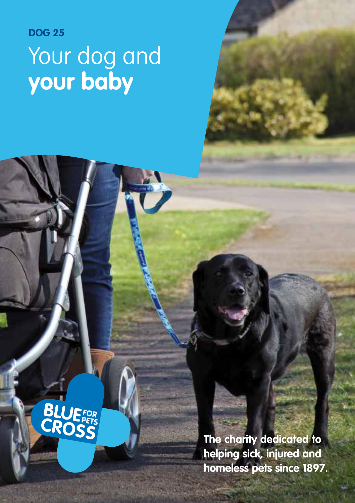# **DOG 25** Your dog and **your baby**

**BLUEFOR**<br>CROSS

**The charity dedicated to helping sick, injured and homeless pets since 1897.**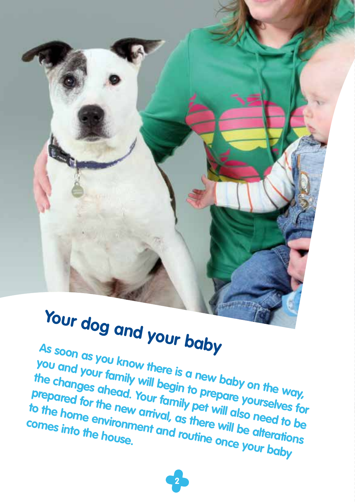# **Your dog and your baby**

**As soon as you know there is a new baby on the way, you and your family will begin to prepare**<br>the changes ahead. Your family pet will also need to be<br>to the home environment and routine area differentions **the changes ahead. Your family pet will also need to be prepared for the new arrival, as there will be alterations**  to the home environment and routine once your baby<br> **to the home environment and routine will be alteration**<br> **to the house.**<br> **to the house. comes into the house.**

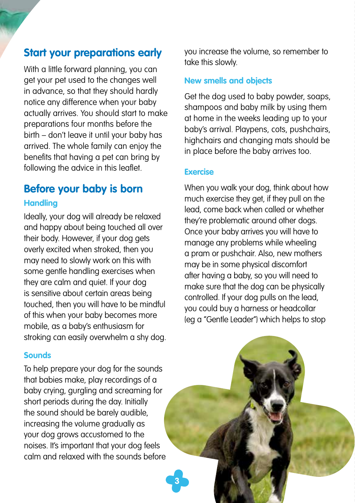# **Start your preparations early**

With a little forward planning, you can get your pet used to the changes well in advance, so that they should hardly notice any difference when your baby actually arrives. You should start to make preparations four months before the birth – don't leave it until your baby has arrived. The whole family can enjoy the benefits that having a pet can bring by following the advice in this leaflet.

## **Before your baby is born Handling**

Ideally, your dog will already be relaxed and happy about being touched all over their body. However, if your dog gets overly excited when stroked, then you may need to slowly work on this with some gentle handling exercises when they are calm and quiet. If your dog is sensitive about certain areas being touched, then you will have to be mindful of this when your baby becomes more mobile, as a baby's enthusiasm for stroking can easily overwhelm a shy dog.

#### **Sounds**

To help prepare your dog for the sounds that babies make, play recordings of a baby crying, gurgling and screaming for short periods during the day. Initially the sound should be barely audible, increasing the volume gradually as your dog grows accustomed to the noises. It's important that your dog feels calm and relaxed with the sounds before you increase the volume, so remember to take this slowly.

#### **New smells and objects**

Get the dog used to baby powder, soaps, shampoos and baby milk by using them at home in the weeks leading up to your baby's arrival. Playpens, cots, pushchairs, highchairs and changing mats should be in place before the baby arrives too.

#### **Exercise**

**3**

When you walk your dog, think about how much exercise they get, if they pull on the lead, come back when called or whether they're problematic around other dogs. Once your baby arrives you will have to manage any problems while wheeling a pram or pushchair. Also, new mothers may be in some physical discomfort after having a baby, so you will need to make sure that the dog can be physically controlled. If your dog pulls on the lead, you could buy a harness or headcollar (eg a "Gentle Leader") which helps to stop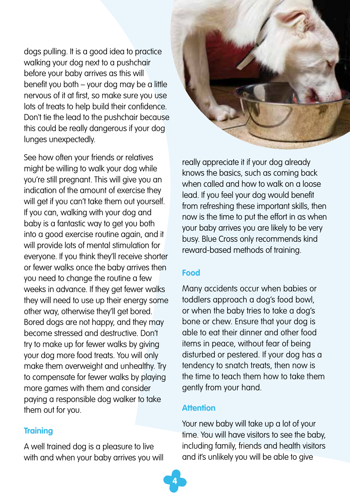dogs pulling. It is a good idea to practice walking your dog next to a pushchair before your baby arrives as this will benefit you both – your dog may be a little nervous of it at first, so make sure you use lots of treats to help build their confidence. Don't tie the lead to the pushchair because this could be really dangerous if your dog lunges unexpectedly.

See how often your friends or relatives might be willing to walk your dog while you're still pregnant. This will give you an indication of the amount of exercise they will get if you can't take them out yourself. If you can, walking with your dog and baby is a fantastic way to get you both into a good exercise routine again, and it will provide lots of mental stimulation for everyone. If you think they'll receive shorter or fewer walks once the baby arrives then you need to change the routine a few weeks in advance. If they get fewer walks they will need to use up their energy some other way, otherwise they'll get bored. Bored dogs are not happy, and they may become stressed and destructive. Don't try to make up for fewer walks by giving your dog more food treats. You will only make them overweight and unhealthy. Try to compensate for fewer walks by playing more games with them and consider paying a responsible dog walker to take them out for you.

#### **Training**

A well trained dog is a pleasure to live with and when your baby arrives you will



really appreciate it if your dog already knows the basics, such as coming back when called and how to walk on a loose lead. If you feel your dog would benefit from refreshing these important skills, then now is the time to put the effort in as when your baby arrives you are likely to be very busy. Blue Cross only recommends kind reward-based methods of training.

#### **Food**

Many accidents occur when babies or toddlers approach a dog's food bowl, or when the baby tries to take a dog's bone or chew. Ensure that your dog is able to eat their dinner and other food items in peace, without fear of being disturbed or pestered. If your dog has a tendency to snatch treats, then now is the time to teach them how to take them gently from your hand.

#### **Attention**

**4**

Your new baby will take up a lot of your time. You will have visitors to see the baby, including family, friends and health visitors and it's unlikely you will be able to give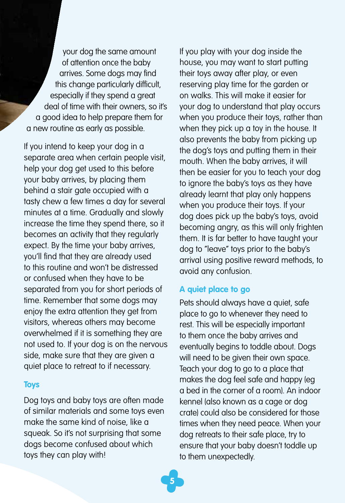your dog the same amount of attention once the baby arrives. Some dogs may find this change particularly difficult, especially if they spend a great deal of time with their owners, so it's a good idea to help prepare them for a new routine as early as possible.

If you intend to keep your dog in a separate area when certain people visit, help your dog get used to this before your baby arrives, by placing them behind a stair gate occupied with a tasty chew a few times a day for several minutes at a time. Gradually and slowly increase the time they spend there, so it becomes an activity that they regularly expect. By the time your baby arrives, you'll find that they are already used to this routine and won't be distressed or confused when they have to be separated from you for short periods of time. Remember that some dogs may enjoy the extra attention they get from visitors, whereas others may become overwhelmed if it is something they are not used to. If your dog is on the nervous side, make sure that they are given a quiet place to retreat to if necessary.

#### **Toys**

Dog toys and baby toys are often made of similar materials and some toys even make the same kind of noise, like a squeak. So it's not surprising that some dogs become confused about which toys they can play with!

If you play with your dog inside the house, you may want to start putting their toys away after play, or even reserving play time for the garden or on walks. This will make it easier for your dog to understand that play occurs when you produce their toys, rather than when they pick up a toy in the house. It also prevents the baby from picking up the dog's toys and putting them in their mouth. When the baby arrives, it will then be easier for you to teach your dog to ignore the baby's toys as they have already learnt that play only happens when you produce their toys. If your dog does pick up the baby's toys, avoid becoming angry, as this will only frighten them. It is far better to have taught your dog to "leave" toys prior to the baby's arrival using positive reward methods, to avoid any confusion.

#### **A quiet place to go**

Pets should always have a quiet, safe place to go to whenever they need to rest. This will be especially important to them once the baby arrives and eventually begins to toddle about. Dogs will need to be given their own space. Teach your dog to go to a place that makes the dog feel safe and happy (eg a bed in the corner of a room). An indoor kennel (also known as a cage or dog crate) could also be considered for those times when they need peace. When your dog retreats to their safe place, try to ensure that your baby doesn't toddle up to them unexpectedly.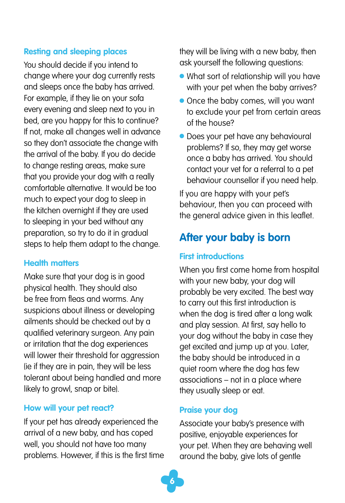#### **Resting and sleeping places**

You should decide if you intend to change where your dog currently rests and sleeps once the baby has arrived. For example, if they lie on your sofa every evening and sleep next to you in bed, are you happy for this to continue? If not, make all changes well in advance so they don't associate the change with the arrival of the baby. If you do decide to change resting areas, make sure that you provide your dog with a really comfortable alternative. It would be too much to expect your dog to sleep in the kitchen overnight if they are used to sleeping in your bed without any preparation, so try to do it in gradual steps to help them adapt to the change.

#### **Health matters**

Make sure that your dog is in good physical health. They should also be free from fleas and worms. Any suspicions about illness or developing ailments should be checked out by a qualified veterinary surgeon. Any pain or irritation that the dog experiences will lower their threshold for aggression (ie if they are in pain, they will be less tolerant about being handled and more likely to growl, snap or bite).

#### **How will your pet react?**

If your pet has already experienced the arrival of a new baby, and has coped well, you should not have too many problems. However, if this is the first time they will be living with a new baby, then ask yourself the following questions:

- What sort of relationship will you have with your pet when the baby arrives?
- Once the baby comes, will you want to exclude your pet from certain areas of the house?
- Does your pet have any behavioural problems? If so, they may get worse once a baby has arrived. You should contact your vet for a referral to a pet behaviour counsellor if you need help.

If you are happy with your pet's behaviour, then you can proceed with the general advice given in this leaflet.

# **After your baby is born**

#### **First introductions**

When you first come home from hospital with your new baby, your dog will probably be very excited. The best way to carry out this first introduction is when the dog is tired after a long walk and play session. At first, say hello to your dog without the baby in case they get excited and jump up at you. Later, the baby should be introduced in a quiet room where the dog has few associations – not in a place where they usually sleep or eat.

#### **Praise your dog**

Associate your baby's presence with positive, enjoyable experiences for your pet. When they are behaving well around the baby, give lots of gentle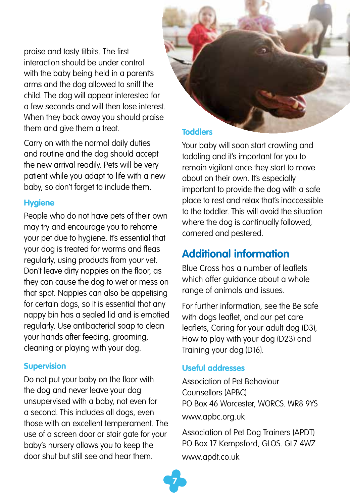praise and tasty titbits. The first interaction should be under control with the baby being held in a parent's arms and the dog allowed to sniff the child. The dog will appear interested for a few seconds and will then lose interest. When they back away you should praise them and give them a treat.

Carry on with the normal daily duties and routine and the dog should accept the new arrival readily. Pets will be very patient while you adapt to life with a new baby, so don't forget to include them.

#### **Hygiene**

People who do not have pets of their own may try and encourage you to rehome your pet due to hygiene. It's essential that your dog is treated for worms and fleas regularly, using products from your vet. Don't leave dirty nappies on the floor, as they can cause the dog to wet or mess on that spot. Nappies can also be appetising for certain dogs, so it is essential that any nappy bin has a sealed lid and is emptied regularly. Use antibacterial soap to clean your hands after feeding, grooming, cleaning or playing with your dog.

#### **Supervision**

Do not put your baby on the floor with the dog and never leave your dog unsupervised with a baby, not even for a second. This includes all dogs, even those with an excellent temperament. The use of a screen door or stair gate for your baby's nursery allows you to keep the door shut but still see and hear them.



Your baby will soon start crawling and toddling and it's important for you to remain vigilant once they start to move about on their own. It's especially important to provide the dog with a safe place to rest and relax that's inaccessible to the toddler. This will avoid the situation where the dog is continually followed. cornered and pestered.

# **Additional information**

Blue Cross has a number of leaflets which offer auidance about a whole range of animals and issues.

For further information, see the Be safe with dogs leaflet, and our pet care leaflets, Caring for your adult dog (D3), How to play with your dog (D23) and Training your dog (D16).

#### **Useful addresses**

Association of Pet Behaviour Counsellors (APBC) PO Box 46 Worcester, WORCS. WR8 9YS www.apbc.org.uk

Association of Pet Dog Trainers (APDT) PO Box 17 Kempsford, GLOS. GL7 4WZ www.apdt.co.uk